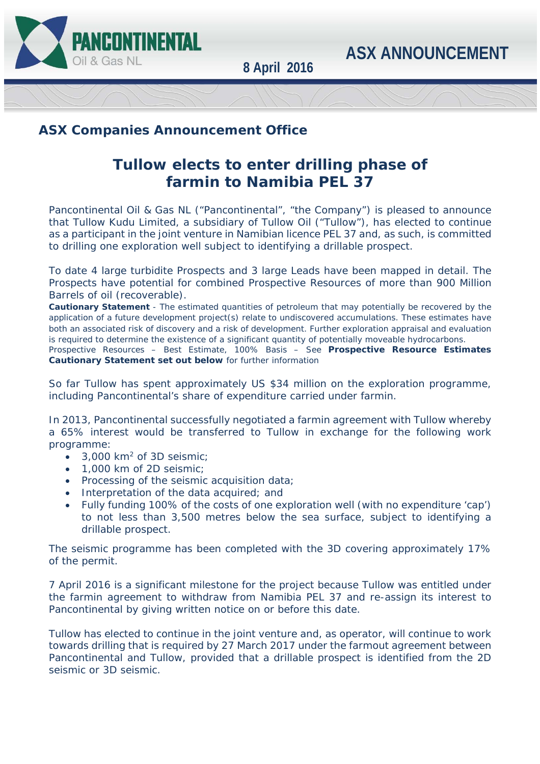



**8 April 2016**

## **ASX Companies Announcement Office**

# **Tullow elects to enter drilling phase of farmin to Namibia PEL 37**

Pancontinental Oil & Gas NL ("Pancontinental", "the Company") is pleased to announce that Tullow Kudu Limited, a subsidiary of Tullow Oil ("Tullow"), has elected to continue as a participant in the joint venture in Namibian licence PEL 37 and, as such, is committed to drilling one exploration well subject to identifying a drillable prospect.

To date 4 large turbidite Prospects and 3 large Leads have been mapped in detail. The Prospects have potential for combined Prospective Resources of more than 900 Million Barrels of oil (recoverable).

**Cautionary Statement** - The estimated quantities of petroleum that may potentially be recovered by the application of a future development project(s) relate to undiscovered accumulations. These estimates have both an associated risk of discovery and a risk of development. Further exploration appraisal and evaluation is required to determine the existence of a significant quantity of potentially moveable hydrocarbons.

Prospective Resources – Best Estimate, 100% Basis – See **Prospective Resource Estimates Cautionary Statement set out below** for further information

So far Tullow has spent approximately US \$34 million on the exploration programme, including Pancontinental's share of expenditure carried under farmin.

In 2013, Pancontinental successfully negotiated a farmin agreement with Tullow whereby a 65% interest would be transferred to Tullow in exchange for the following work programme:

- $\cdot$  3,000 km<sup>2</sup> of 3D seismic:
- 1,000 km of 2D seismic;
- Processing of the seismic acquisition data;
- Interpretation of the data acquired; and
- Fully funding 100% of the costs of one exploration well (with no expenditure 'cap') to not less than 3,500 metres below the sea surface, subject to identifying a drillable prospect.

The seismic programme has been completed with the 3D covering approximately 17% of the permit.

7 April 2016 is a significant milestone for the project because Tullow was entitled under the farmin agreement to withdraw from Namibia PEL 37 and re-assign its interest to Pancontinental by giving written notice on or before this date.

Tullow has elected to continue in the joint venture and, as operator, will continue to work towards drilling that is required by 27 March 2017 under the farmout agreement between Pancontinental and Tullow, provided that a drillable prospect is identified from the 2D seismic or 3D seismic.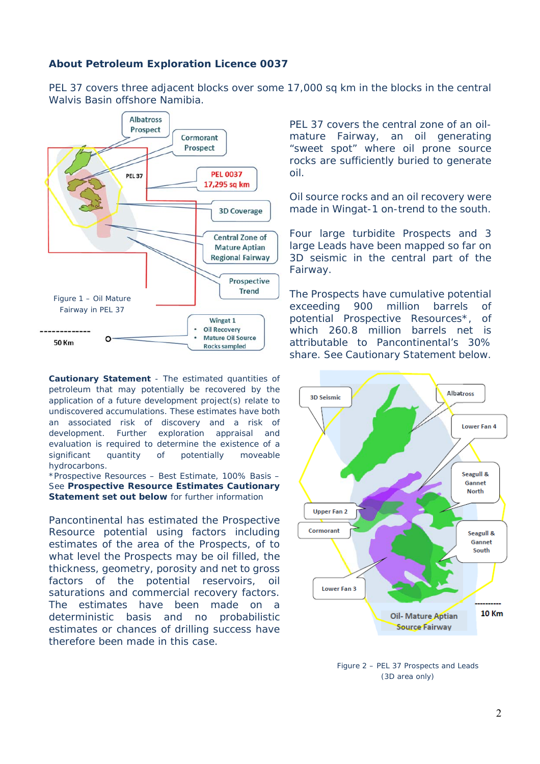### **About Petroleum Exploration Licence 0037**

PEL 37 covers three adjacent blocks over some 17,000 sq km in the blocks in the central Walvis Basin offshore Namibia.



**Cautionary Statement** - The estimated quantities of petroleum that may potentially be recovered by the application of a future development project(s) relate to undiscovered accumulations. These estimates have both an associated risk of discovery and a risk of development. Further exploration appraisal and evaluation is required to determine the existence of a significant quantity of potentially moveable hydrocarbons.

\*Prospective Resources – Best Estimate, 100% Basis – See **Prospective Resource Estimates Cautionary Statement set out below** for further information

Pancontinental has estimated the Prospective Resource potential using factors including estimates of the area of the Prospects, of to what level the Prospects may be oil filled, the thickness, geometry, porosity and net to gross factors of the potential reservoirs, oil saturations and commercial recovery factors. The estimates have been made on a deterministic basis and no probabilistic estimates or chances of drilling success have therefore been made in this case.

PEL 37 covers the central zone of an oilmature Fairway, an oil generating "sweet spot" where oil prone source rocks are sufficiently buried to generate oil.

Oil source rocks and an oil recovery were made in Wingat-1 on-trend to the south.

Four large turbidite Prospects and 3 large Leads have been mapped so far on 3D seismic in the central part of the Fairway.

The Prospects have cumulative potential exceeding 900 million barrels of potential Prospective Resources\*, of which 260.8 million barrels net is attributable to Pancontinental's 30% share. See Cautionary Statement below.



Figure 2 – PEL 37 Prospects and Leads (3D area only)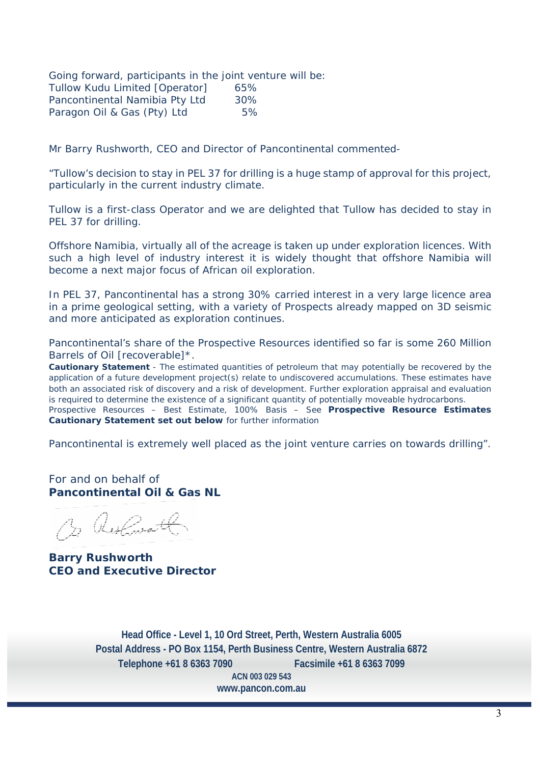Going forward, participants in the joint venture will be: Tullow Kudu Limited [Operator] 65% Pancontinental Namibia Pty Ltd 30% Paragon Oil & Gas (Pty) Ltd 5%

Mr Barry Rushworth, CEO and Director of Pancontinental commented-

*"Tullow's decision to stay in PEL 37 for drilling is a huge stamp of approval for this project, particularly in the current industry climate.* 

*Tullow is a first-class Operator and we are delighted that Tullow has decided to stay in PEL 37 for drilling.* 

*Offshore Namibia, virtually all of the acreage is taken up under exploration licences. With such a high level of industry interest it is widely thought that offshore Namibia will become a next major focus of African oil exploration.* 

*In PEL 37, Pancontinental has a strong 30% carried interest in a very large licence area in a prime geological setting, with a variety of Prospects already mapped on 3D seismic and more anticipated as exploration continues.* 

*Pancontinental's share of the Prospective Resources identified so far is some 260 Million Barrels of Oil [recoverable]\*.* 

**Cautionary Statement** - The estimated quantities of petroleum that may potentially be recovered by the application of a future development project(s) relate to undiscovered accumulations. These estimates have both an associated risk of discovery and a risk of development. Further exploration appraisal and evaluation is required to determine the existence of a significant quantity of potentially moveable hydrocarbons. Prospective Resources – Best Estimate, 100% Basis – See **Prospective Resource Estimates Cautionary Statement set out below** for further information

*Pancontinental is extremely well placed as the joint venture carries on towards drilling".* 

For and on behalf of **Pancontinental Oil & Gas NL** 

3 Restaurantl

**Barry Rushworth CEO and Executive Director** 

**Head Office - Level 1, 10 Ord Street, Perth, Western Australia 6005 Postal Address - PO Box 1154, Perth Business Centre, Western Australia 6872 Telephone +61 8 6363 7090 Facsimile +61 8 6363 7099 ACN 003 029 543 www.pancon.com.au**